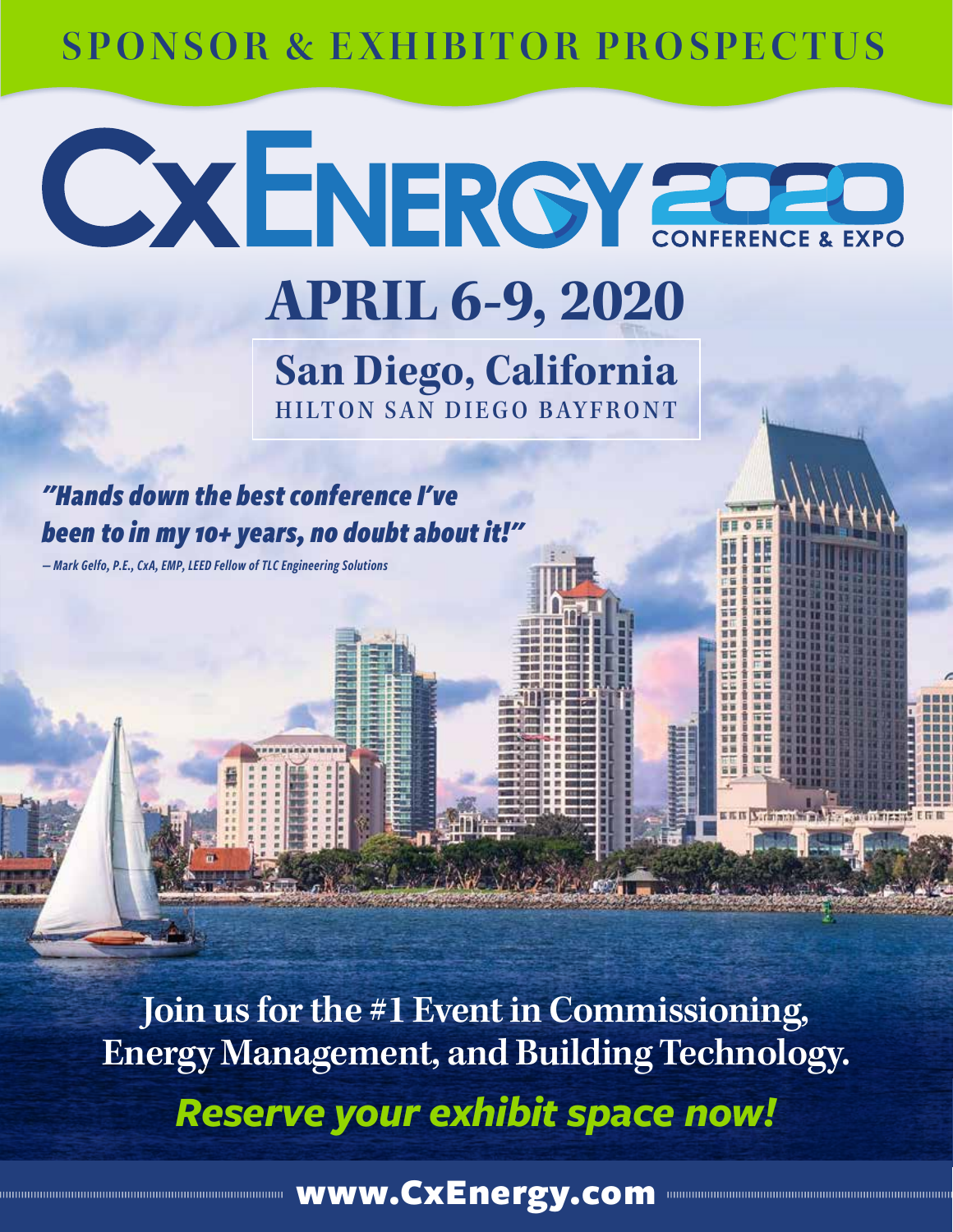# **SPONSOR & EXHIBITOR PROSPECTUS**

**APRIL 6-9, 2020**

**CXENERGY 20020** 

**San Diego, California** HILTON SAN DIEGO BAYFRONT

*"Hands down the best conference I've been to in my 10+ years, no doubt about it!"* 

*— Mark Gelfo, P.E., CxA, EMP, LEED Fellow of TLC Engineering Solutions*

**Join us for the #1 Event in Commissioning, Energy Management, and Building Technology.** *Reserve your exhibit space now!*

ww.CxEnergy.com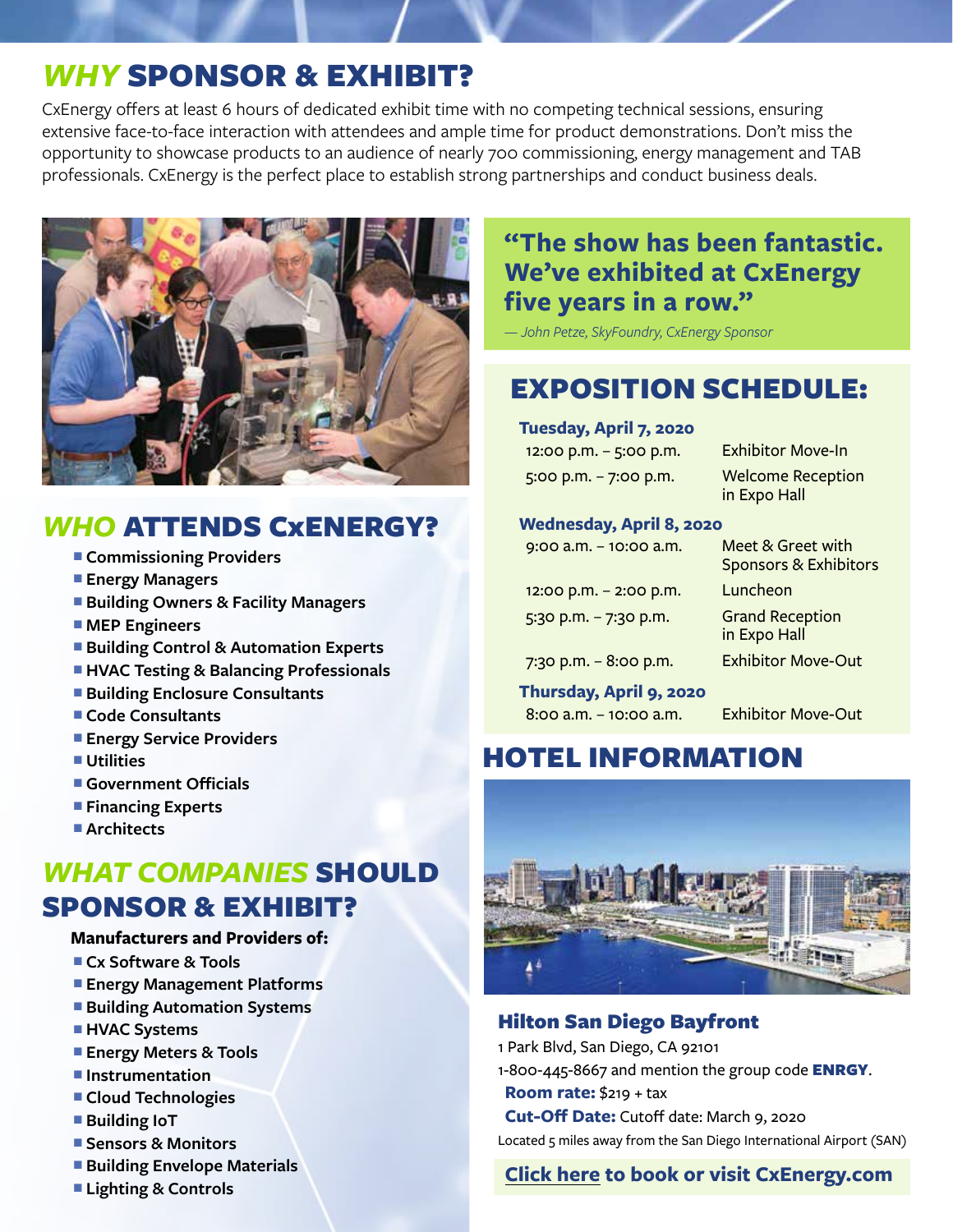# *WHY* SPONSOR & EXHIBIT?

CxEnergy offers at least 6 hours of dedicated exhibit time with no competing technical sessions, ensuring extensive face-to-face interaction with attendees and ample time for product demonstrations. Don't miss the opportunity to showcase products to an audience of nearly 700 commissioning, energy management and TAB professionals. CxEnergy is the perfect place to establish strong partnerships and conduct business deals.



## *WHO* ATTENDS CxENERGY?

- **E** Commissioning Providers
- **Energy Managers**
- **E** Building Owners & Facility Managers
- MEP Engineers
- **E** Building Control & Automation Experts
- $\blacksquare$  **HVAC Testing & Balancing Professionals**
- **E** Building Enclosure Consultants
- Code Consultants
- **Energy Service Providers**
- <sup>n</sup> **Utilities**
- **E** Government Officials
- **Financing Experts**
- Architects

# *WHAT COMPANIES* SHOULD SPONSOR & EXHIBIT?

### **Manufacturers and Providers of:**

- <sup>n</sup> **Cx Software & Tools**
- **Energy Management Platforms**
- **E** Building Automation Systems
- **HVAC Systems**
- **Energy Meters & Tools**
- $\blacksquare$  Instrumentation
- **Example Technologies**
- Building IoT
- Sensors & Monitors
- **E** Building Envelope Materials
- **Lighting & Controls**

## **"The show has been fantastic. We've exhibited at CxEnergy five years in a row."**

*— John Petze, SkyFoundry, CxEnergy Sponsor*

# EXPOSITION SCHEDULE:

**Tuesday, April 7, 2020**

| 12:00 p.m. – 5:00 p.m. | <b>Exhibitor Move-In</b>                 |
|------------------------|------------------------------------------|
| 5:00 p.m. - 7:00 p.m.  | <b>Welcome Reception</b><br>in Expo Hall |

#### **Wednesday, April 8, 2020**

| $9:00$ a.m. $-10:00$ a.m. | Meet & Greet with<br><b>Sponsors &amp; Exhibitors</b> |
|---------------------------|-------------------------------------------------------|
| 12:00 p.m. $-$ 2:00 p.m.  | Luncheon                                              |
| $5:30$ p.m. $-7:30$ p.m.  | <b>Grand Reception</b><br>in Expo Hall                |
| 7:30 p.m. $-8:00$ p.m.    | <b>Exhibitor Move-Out</b>                             |
| Thursday, April 9, 2020   |                                                       |
| $8:00$ a.m. $-10:00$ a.m. | <b>Exhibitor Move-Out</b>                             |

## HOTEL INFORMATION



### Hilton San Diego Bayfront

- 1 Park Blvd, San Diego, CA 92101
- 1-800-445-8667 and mention the group code **ENRGY**.
- **Room rate:** \$219 + tax

**Cut-Off Date:** Cutoff date: March 9, 2020

Located 5 miles away from the San Diego International Airport (SAN)

### **Click here to book or visit CxEnergy.com**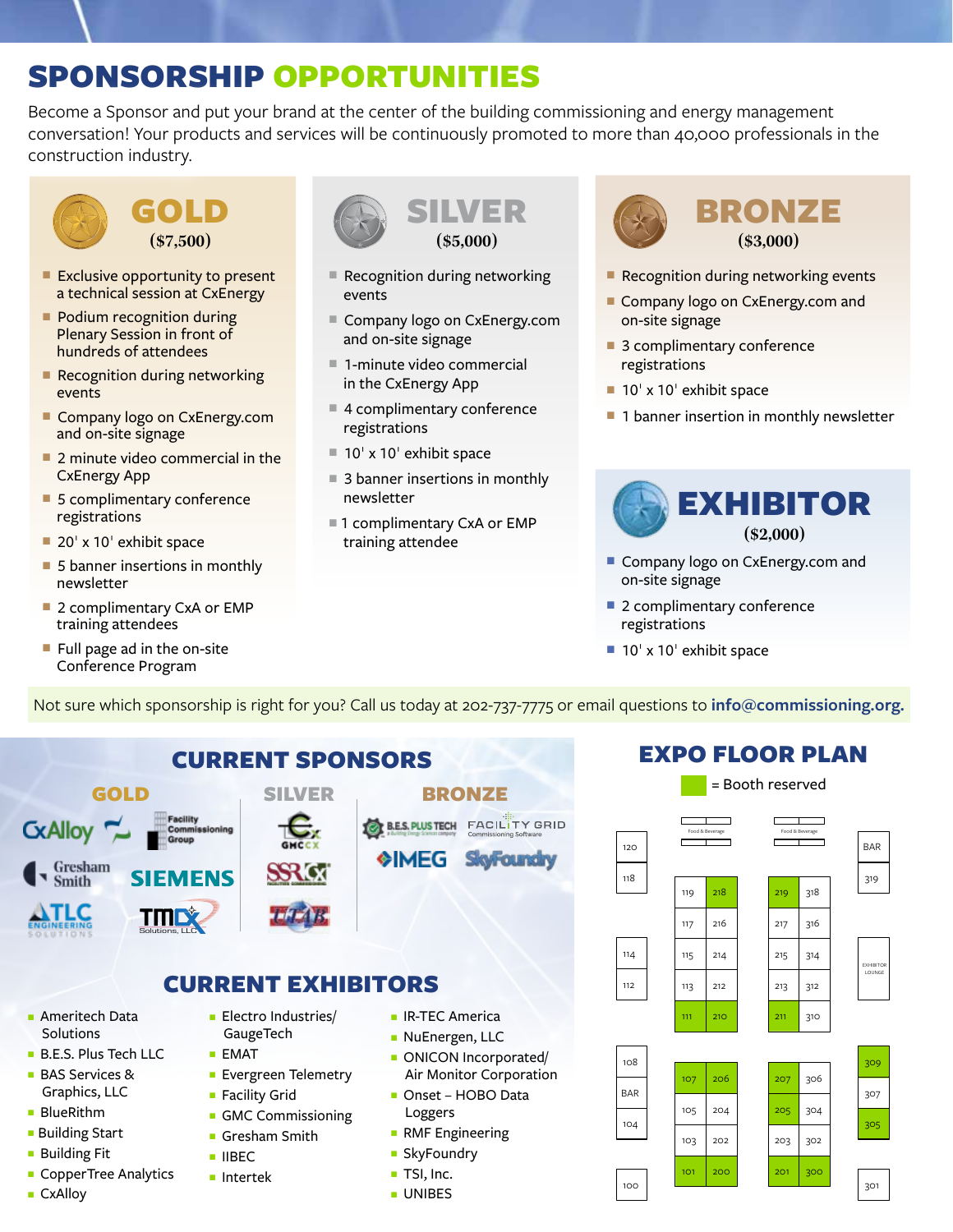# SPONSORSHIP OPPORTUNITIES

Become a Sponsor and put your brand at the center of the building commissioning and energy management conversation! Your products and services will be continuously promoted to more than 40,000 professionals in the construction industry.





- $\blacksquare$  Exclusive opportunity to present a technical session at CxEnergy
- **Podium recognition during** Plenary Session in front of hundreds of attendees
- $\blacksquare$  Recognition during networking events
- Company logo on CxEnergy.com and on-site signage
- $\blacksquare$  2 minute video commercial in the CxEnergy App
- $\blacksquare$  5 complimentary conference registrations
- $\blacksquare$  20' x 10' exhibit space
- $\blacksquare$  5 banner insertions in monthly newsletter
- 2 complimentary CxA or EMP training attendees
- $\blacksquare$  Full page ad in the on-site Conference Program



- $\blacksquare$  Recognition during networking events
- Company logo on CxEnergy.com and on-site signage
- $\blacksquare$  1-minute video commercial in the CxEnergy App
- $\blacksquare$  4 complimentary conference registrations
- $\blacksquare$  10' x 10' exhibit space
- $\blacksquare$  3 banner insertions in monthly newsletter
- 1 complimentary CxA or EMP training attendee



- $\blacksquare$  Recognition during networking events
- Company logo on CxEnergy.com and on-site signage
- $\blacksquare$  3 complimentary conference registrations
- $\blacksquare$  10' x 10' exhibit space
- $\blacksquare$  1 banner insertion in monthly newsletter



- Company logo on CxEnergy.com and on-site signage
- $\blacksquare$  2 complimentary conference registrations
- $\blacksquare$  10' x 10' exhibit space

Not sure which sponsorship is right for you? Call us today at 202-737-7775 or email questions to **info@commissioning.org.**



## EXPO FLOOR PLAN

|            |     |                 | = Booth reserved |     |                 |                  |
|------------|-----|-----------------|------------------|-----|-----------------|------------------|
| 120        |     | Food & Beverage |                  |     | Food & Beverage | <b>BAR</b>       |
| 118        | 119 | 218             |                  | 219 | 318             | 319              |
|            | 117 | 216             |                  | 217 | 316             |                  |
| 114        | 115 | 214             |                  | 215 | 314             | <b>EXHIBITOR</b> |
| 112        | 113 | 212             |                  | 213 | 312             | LOUNGE           |
|            | 111 | 210             |                  | 211 | 310             |                  |
| 108        |     |                 |                  |     |                 | 309              |
|            | 107 | 206             |                  | 207 | 306             |                  |
| <b>BAR</b> | 105 | 204             |                  | 205 | 304             | 307              |
| 104        | 103 | 202             |                  | 203 | 302             | 305              |
|            |     |                 |                  |     |                 |                  |
| 100        | 101 | 200             |                  | 201 | 300             | 301              |